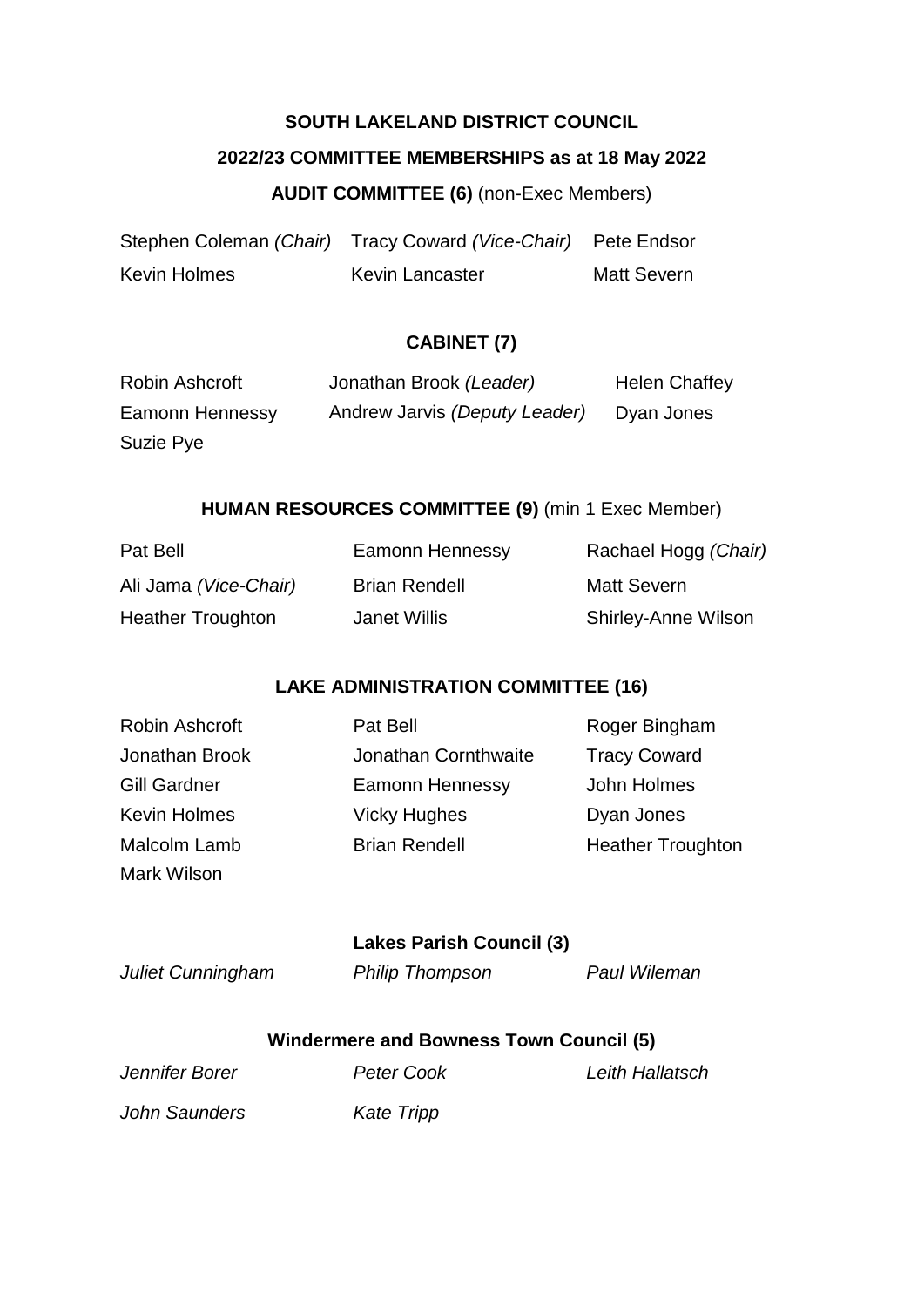# **SOUTH LAKELAND DISTRICT COUNCIL 2022/23 COMMITTEE MEMBERSHIPS as at 18 May 2022**

## **AUDIT COMMITTEE (6)** (non-Exec Members)

|              | Stephen Coleman (Chair) Tracy Coward (Vice-Chair) Pete Endsor |                    |
|--------------|---------------------------------------------------------------|--------------------|
| Kevin Holmes | <b>Kevin Lancaster</b>                                        | <b>Matt Severn</b> |

## **CABINET (7)**

| Robin Ashcroft  | Jonathan Brook (Leader)       | <b>Helen Chaffey</b> |
|-----------------|-------------------------------|----------------------|
| Eamonn Hennessy | Andrew Jarvis (Deputy Leader) | Dyan Jones           |
| Suzie Pye       |                               |                      |

#### **HUMAN RESOURCES COMMITTEE (9)** (min 1 Exec Member)

| Pat Bell                 | Eamonn Hennessy      | Rachael Hogg (Chair)       |
|--------------------------|----------------------|----------------------------|
| Ali Jama (Vice-Chair)    | <b>Brian Rendell</b> | Matt Severn                |
| <b>Heather Troughton</b> | Janet Willis         | <b>Shirley-Anne Wilson</b> |

## **LAKE ADMINISTRATION COMMITTEE (16)**

| Robin Ashcroft      | Pat Bell             | Roger Bingham            |
|---------------------|----------------------|--------------------------|
| Jonathan Brook      | Jonathan Cornthwaite | <b>Tracy Coward</b>      |
| <b>Gill Gardner</b> | Eamonn Hennessy      | John Holmes              |
| <b>Kevin Holmes</b> | <b>Vicky Hughes</b>  | Dyan Jones               |
| Malcolm Lamb        | <b>Brian Rendell</b> | <b>Heather Troughton</b> |
| Mark Wilson         |                      |                          |

## **Lakes Parish Council (3)**

*Juliet Cunningham Philip Thompson Paul Wileman*

## **Windermere and Bowness Town Council (5)**

| $1 - 1 - 0 - 0 - 1 - 1 - 1$ | 00000 - 000 |  |  |
|-----------------------------|-------------|--|--|
|                             |             |  |  |

*Jennifer Borer Peter Cook Leith Hallatsch*

*John Saunders Kate Tripp*